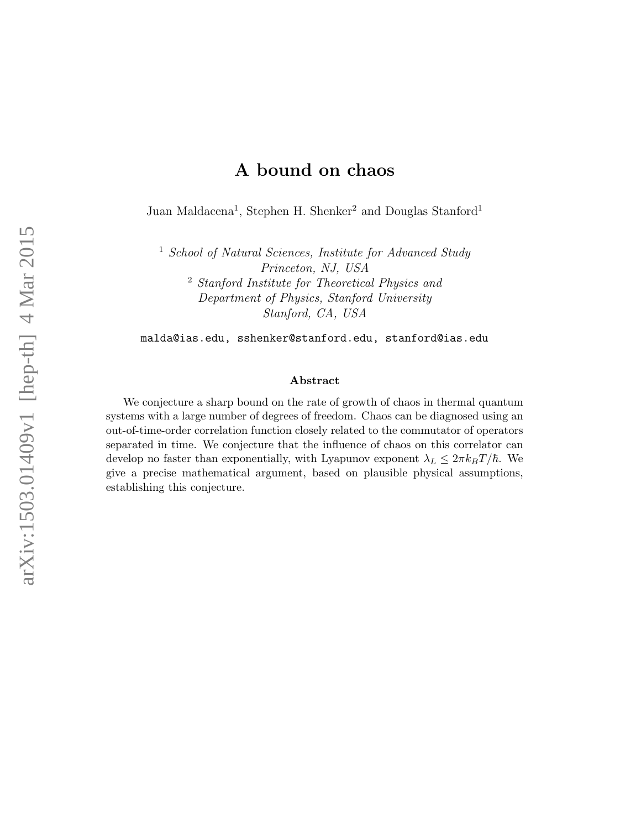# A bound on chaos

Juan Maldacena<sup>1</sup>, Stephen H. Shenker<sup>2</sup> and Douglas Stanford<sup>1</sup>

<sup>1</sup> School of Natural Sciences, Institute for Advanced Study Princeton, NJ, USA <sup>2</sup> Stanford Institute for Theoretical Physics and Department of Physics, Stanford University Stanford, CA, USA

malda@ias.edu, sshenker@stanford.edu, stanford@ias.edu

#### Abstract

We conjecture a sharp bound on the rate of growth of chaos in thermal quantum systems with a large number of degrees of freedom. Chaos can be diagnosed using an out-of-time-order correlation function closely related to the commutator of operators separated in time. We conjecture that the influence of chaos on this correlator can develop no faster than exponentially, with Lyapunov exponent  $\lambda_L \leq 2\pi k_B T/\hbar$ . We give a precise mathematical argument, based on plausible physical assumptions, establishing this conjecture.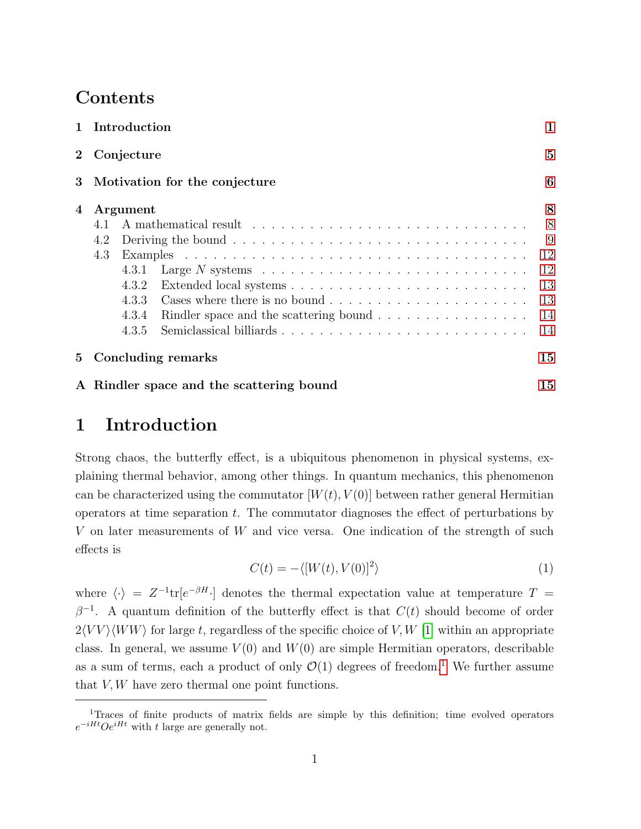# Contents

|                 | 1 Introduction                                                                                   | $\mathbf 1$    |
|-----------------|--------------------------------------------------------------------------------------------------|----------------|
|                 | 2 Conjecture                                                                                     | $\overline{5}$ |
| $3\phantom{.0}$ | Motivation for the conjecture                                                                    | 6              |
| 4               | Argument                                                                                         | 8              |
|                 | 4.1                                                                                              | 8              |
|                 | 4.2                                                                                              | 9              |
|                 | 4.3                                                                                              | 12             |
|                 | Large N systems $\ldots \ldots \ldots \ldots \ldots \ldots \ldots \ldots \ldots \ldots$<br>4.3.1 | 12             |
|                 | 4.3.2                                                                                            | 13             |
|                 | 4.3.3                                                                                            | 13             |
|                 | Rindler space and the scattering bound $\ldots \ldots \ldots \ldots \ldots$<br>4.3.4             | 14             |
|                 | Semiclassical billiards<br>4.3.5                                                                 | 14             |
| 5 <sup>5</sup>  | Concluding remarks                                                                               | 15             |
|                 | A Rindler space and the scattering bound                                                         | 15             |

# <span id="page-1-0"></span>1 Introduction

Strong chaos, the butterfly effect, is a ubiquitous phenomenon in physical systems, explaining thermal behavior, among other things. In quantum mechanics, this phenomenon can be characterized using the commutator  $[W(t), V(0)]$  between rather general Hermitian operators at time separation  $t$ . The commutator diagnoses the effect of perturbations by V on later measurements of W and vice versa. One indication of the strength of such effects is

$$
C(t) = -\langle [W(t), V(0)]^2 \rangle \tag{1}
$$

<span id="page-1-2"></span>where  $\langle \cdot \rangle = Z^{-1} \text{tr}[e^{-\beta H} \cdot]$  denotes the thermal expectation value at temperature  $T =$  $\beta^{-1}$ . A quantum definition of the butterfly effect is that  $C(t)$  should become of order  $2\langle VV\rangle\langle WW\rangle$  for large t, regardless of the specific choice of V, W [\[1\]](#page-18-0) within an appropriate class. In general, we assume  $V(0)$  and  $W(0)$  are simple Hermitian operators, describable as a sum of terms, each a product of only  $\mathcal{O}(1)$  $\mathcal{O}(1)$  $\mathcal{O}(1)$  degrees of freedom.<sup>1</sup> We further assume that  $V, W$  have zero thermal one point functions.

<span id="page-1-1"></span><sup>&</sup>lt;sup>1</sup>Traces of finite products of matrix fields are simple by this definition; time evolved operators  $e^{-iHt}Oe^{iHt}$  with t large are generally not.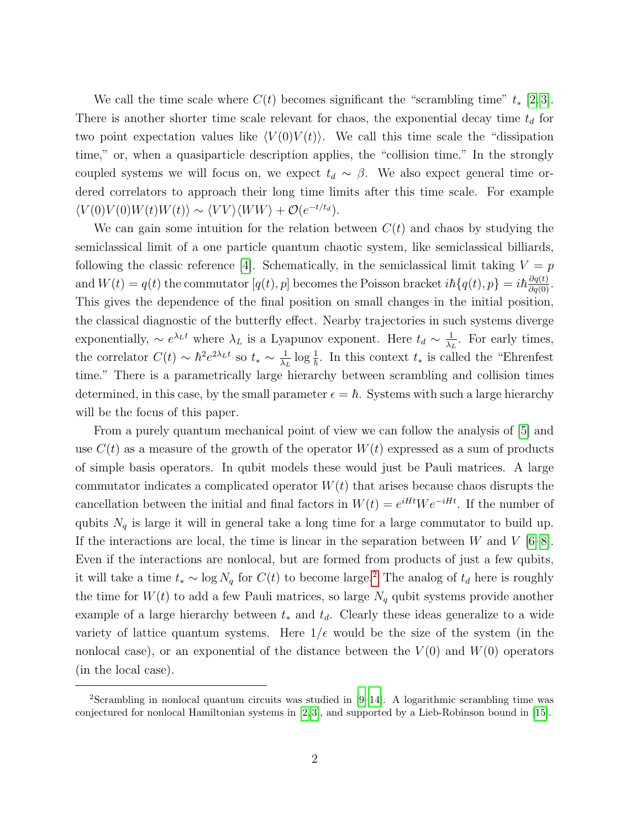We call the time scale where  $C(t)$  becomes significant the "scrambling time"  $t_*$  [\[2,](#page-18-1)3]. There is another shorter time scale relevant for chaos, the exponential decay time  $t_d$  for two point expectation values like  $\langle V(0)V(t)\rangle$ . We call this time scale the "dissipation" time," or, when a quasiparticle description applies, the "collision time." In the strongly coupled systems we will focus on, we expect  $t_d \sim \beta$ . We also expect general time ordered correlators to approach their long time limits after this time scale. For example  $\langle V(0)V(0)W(t)W(t)\rangle \sim \langle VV\rangle \langle WW\rangle + \mathcal{O}(e^{-t/t_d}).$ 

We can gain some intuition for the relation between  $C(t)$  and chaos by studying the semiclassical limit of a one particle quantum chaotic system, like semiclassical billiards, following the classic reference [\[4\]](#page-18-3). Schematically, in the semiclassical limit taking  $V = p$ and  $W(t) = q(t)$  the commutator  $[q(t), p]$  becomes the Poisson bracket  $i\hbar\{q(t), p\} = i\hbar\frac{\partial q(t)}{\partial q(0)}$ . This gives the dependence of the final position on small changes in the initial position, the classical diagnostic of the butterfly effect. Nearby trajectories in such systems diverge exponentially,  $\sim e^{\lambda_L t}$  where  $\lambda_L$  is a Lyapunov exponent. Here  $t_d \sim \frac{1}{\lambda_d}$  $\frac{1}{\lambda_L}$ . For early times, the correlator  $C(t) \sim \hbar^2 e^{2\lambda_L t}$  so  $t_* \sim \frac{1}{\lambda_t}$  $\frac{1}{\lambda_L} \log \frac{1}{\hbar}$ . In this context  $t_*$  is called the "Ehrenfest" time." There is a parametrically large hierarchy between scrambling and collision times determined, in this case, by the small parameter  $\epsilon = \hbar$ . Systems with such a large hierarchy will be the focus of this paper.

From a purely quantum mechanical point of view we can follow the analysis of [\[5\]](#page-18-4) and use  $C(t)$  as a measure of the growth of the operator  $W(t)$  expressed as a sum of products of simple basis operators. In qubit models these would just be Pauli matrices. A large commutator indicates a complicated operator  $W(t)$  that arises because chaos disrupts the cancellation between the initial and final factors in  $W(t) = e^{iHt}We^{-iHt}$ . If the number of qubits  $N_q$  is large it will in general take a long time for a large commutator to build up. If the interactions are local, the time is linear in the separation between  $W$  and  $V$  [\[6–](#page-18-5)[8\]](#page-19-0). Even if the interactions are nonlocal, but are formed from products of just a few qubits, it will take a time  $t_* \sim \log N_q$  for  $C(t)$  to become large.<sup>[2](#page-2-0)</sup> The analog of  $t_d$  here is roughly the time for  $W(t)$  to add a few Pauli matrices, so large  $N_q$  qubit systems provide another example of a large hierarchy between  $t_*$  and  $t_d$ . Clearly these ideas generalize to a wide variety of lattice quantum systems. Here  $1/\epsilon$  would be the size of the system (in the nonlocal case), or an exponential of the distance between the  $V(0)$  and  $W(0)$  operators (in the local case).

<span id="page-2-0"></span><sup>2</sup>Scrambling in nonlocal quantum circuits was studied in [\[9–](#page-19-1)[14\]](#page-19-2). A logarithmic scrambling time was conjectured for nonlocal Hamiltonian systems in [\[2,](#page-18-1) [3\]](#page-18-2), and supported by a Lieb-Robinson bound in [\[15\]](#page-19-3).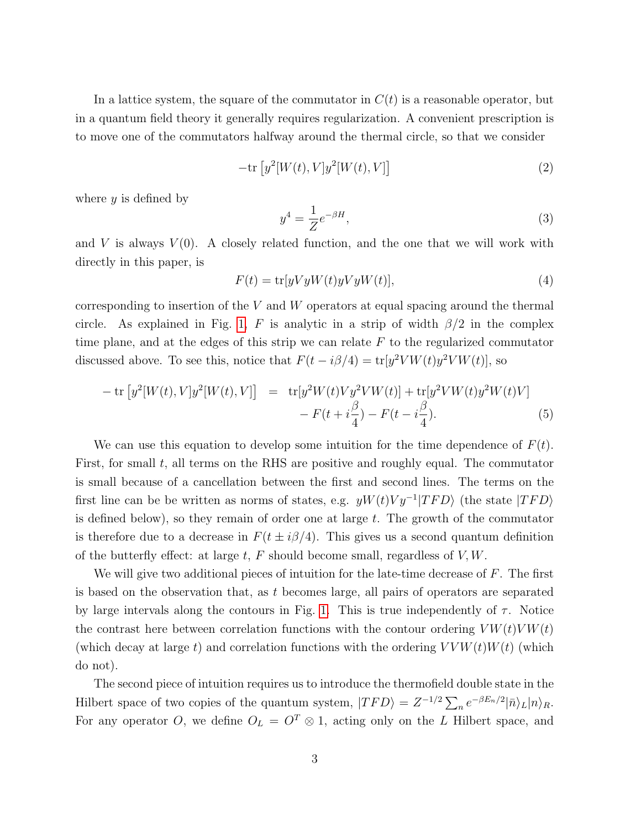In a lattice system, the square of the commutator in  $C(t)$  is a reasonable operator, but in a quantum field theory it generally requires regularization. A convenient prescription is to move one of the commutators halfway around the thermal circle, so that we consider

$$
-\mathrm{tr}\left[y^2[W(t),V]y^2[W(t),V]\right]
$$
\n<sup>(2)</sup>

where  $y$  is defined by

$$
y^4 = \frac{1}{Z}e^{-\beta H},\tag{3}
$$

and V is always  $V(0)$ . A closely related function, and the one that we will work with directly in this paper, is

<span id="page-3-0"></span>
$$
F(t) = \text{tr}[yVyW(t)yWyW(t)],\tag{4}
$$

corresponding to insertion of the  $V$  and  $W$  operators at equal spacing around the thermal circle. As explained in Fig. [1,](#page-4-0) F is analytic in a strip of width  $\beta/2$  in the complex time plane, and at the edges of this strip we can relate  $F$  to the regularized commutator discussed above. To see this, notice that  $F(t - i\beta/4) = \text{tr}[y^2 V W(t)y^2 V W(t)]$ , so

$$
- \operatorname{tr} [y^2[W(t), V]y^2[W(t), V]] = \operatorname{tr} [y^2W(t)Vy^2VW(t)] + \operatorname{tr} [y^2VW(t)y^2W(t)V] - F(t + i\frac{\beta}{4}) - F(t - i\frac{\beta}{4}).
$$
 (5)

We can use this equation to develop some intuition for the time dependence of  $F(t)$ . First, for small  $t$ , all terms on the RHS are positive and roughly equal. The commutator is small because of a cancellation between the first and second lines. The terms on the first line can be be written as norms of states, e.g.  $yW(t)Vy^{-1}|TFD\rangle$  (the state  $|TFD\rangle$ ) is defined below), so they remain of order one at large  $t$ . The growth of the commutator is therefore due to a decrease in  $F(t \pm i\beta/4)$ . This gives us a second quantum definition of the butterfly effect: at large  $t$ , F should become small, regardless of  $V, W$ .

We will give two additional pieces of intuition for the late-time decrease of  $F$ . The first is based on the observation that, as t becomes large, all pairs of operators are separated by large intervals along the contours in Fig. [1.](#page-4-0) This is true independently of  $\tau$ . Notice the contrast here between correlation functions with the contour ordering  $V W(t) V W(t)$ (which decay at large t) and correlation functions with the ordering  $VVW(t)W(t)$  (which do not).

The second piece of intuition requires us to introduce the thermofield double state in the Hilbert space of two copies of the quantum system,  $|TFD\rangle = Z^{-1/2} \sum_n e^{-\beta E_n/2} |\bar{n}\rangle_L |n\rangle_R$ . For any operator O, we define  $O<sub>L</sub> = O<sup>T</sup> \otimes 1$ , acting only on the L Hilbert space, and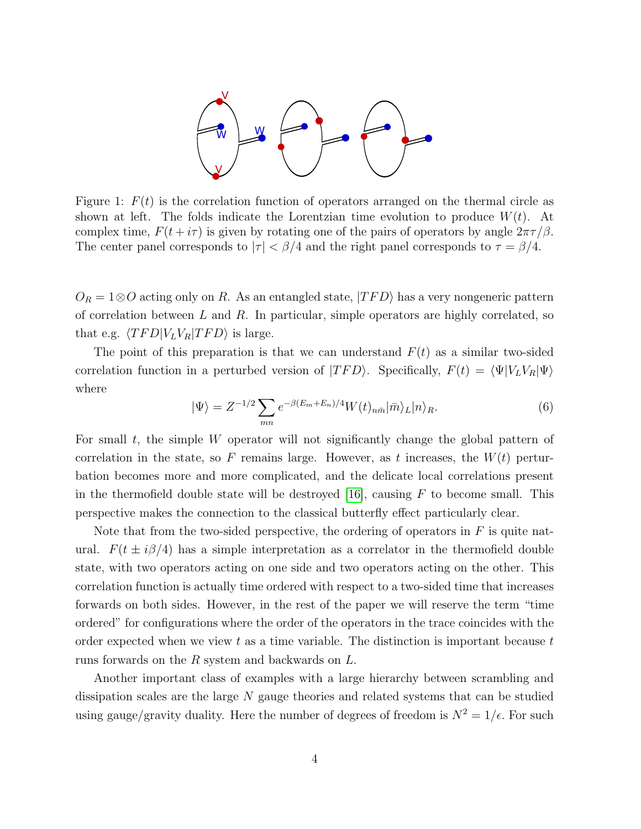

<span id="page-4-0"></span>Figure 1:  $F(t)$  is the correlation function of operators arranged on the thermal circle as shown at left. The folds indicate the Lorentzian time evolution to produce  $W(t)$ . At complex time,  $F(t + i\tau)$  is given by rotating one of the pairs of operators by angle  $2\pi\tau/\beta$ . The center panel corresponds to  $|\tau| < \beta/4$  and the right panel corresponds to  $\tau = \beta/4$ .

 $O_R = 1 \otimes O$  acting only on R. As an entangled state,  $|TFD\rangle$  has a very nongeneric pattern of correlation between  $L$  and  $R$ . In particular, simple operators are highly correlated, so that e.g.  $\langle T F D | V_L V_R | T F D \rangle$  is large.

The point of this preparation is that we can understand  $F(t)$  as a similar two-sided correlation function in a perturbed version of  $|TFD\rangle$ . Specifically,  $F(t) = \langle \Psi | V_L V_R | \Psi \rangle$ where

$$
|\Psi\rangle = Z^{-1/2} \sum_{mn} e^{-\beta (E_m + E_n)/4} W(t)_{n\bar{m}} |\bar{m}\rangle_L |n\rangle_R.
$$
 (6)

For small  $t$ , the simple  $W$  operator will not significantly change the global pattern of correlation in the state, so F remains large. However, as t increases, the  $W(t)$  perturbation becomes more and more complicated, and the delicate local correlations present in the thermofield double state will be destroyed  $[16]$ , causing F to become small. This perspective makes the connection to the classical butterfly effect particularly clear.

Note that from the two-sided perspective, the ordering of operators in  $F$  is quite natural.  $F(t \pm i\beta/4)$  has a simple interpretation as a correlator in the thermofield double state, with two operators acting on one side and two operators acting on the other. This correlation function is actually time ordered with respect to a two-sided time that increases forwards on both sides. However, in the rest of the paper we will reserve the term "time ordered" for configurations where the order of the operators in the trace coincides with the order expected when we view t as a time variable. The distinction is important because  $t$ runs forwards on the R system and backwards on L.

Another important class of examples with a large hierarchy between scrambling and dissipation scales are the large  $N$  gauge theories and related systems that can be studied using gauge/gravity duality. Here the number of degrees of freedom is  $N^2 = 1/\epsilon$ . For such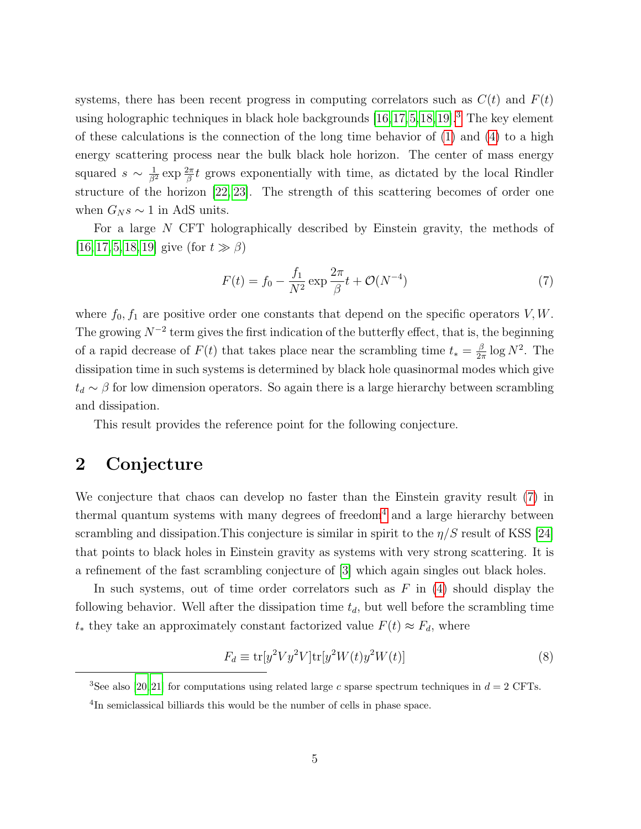systems, there has been recent progress in computing correlators such as  $C(t)$  and  $F(t)$ using holographic techniques in black hole backgrounds  $[16, 17, 5, 18, 19]$  $[16, 17, 5, 18, 19]$  $[16, 17, 5, 18, 19]$  $[16, 17, 5, 18, 19]$  $[16, 17, 5, 18, 19]$  $[16, 17, 5, 18, 19]$  $[16, 17, 5, 18, 19]$  $[16, 17, 5, 18, 19]$  $[16, 17, 5, 18, 19]$ .<sup>[3](#page-5-1)</sup> The key element of these calculations is the connection of the long time behavior of  $(1)$  and  $(4)$  to a high energy scattering process near the bulk black hole horizon. The center of mass energy squared  $s \sim \frac{1}{\beta^2} \exp \frac{2\pi}{\beta} t$  grows exponentially with time, as dictated by the local Rindler structure of the horizon [\[22,](#page-20-1) [23\]](#page-20-2). The strength of this scattering becomes of order one when  $G_N s \sim 1$  in AdS units.

For a large N CFT holographically described by Einstein gravity, the methods of [\[16,](#page-19-4) [17,](#page-19-5) [5,](#page-18-4) [18,](#page-19-6) [19\]](#page-20-0) give (for  $t \gg \beta$ )

<span id="page-5-2"></span>
$$
F(t) = f_0 - \frac{f_1}{N^2} \exp \frac{2\pi}{\beta} t + \mathcal{O}(N^{-4})
$$
 (7)

where  $f_0, f_1$  are positive order one constants that depend on the specific operators  $V, W$ . The growing  $N^{-2}$  term gives the first indication of the butterfly effect, that is, the beginning of a rapid decrease of  $F(t)$  that takes place near the scrambling time  $t_* = \frac{\beta}{2i}$  $\frac{\beta}{2\pi} \log N^2$ . The dissipation time in such systems is determined by black hole quasinormal modes which give  $t_d \sim \beta$  for low dimension operators. So again there is a large hierarchy between scrambling and dissipation.

This result provides the reference point for the following conjecture.

## <span id="page-5-0"></span>2 Conjecture

We conjecture that chaos can develop no faster than the Einstein gravity result [\(7\)](#page-5-2) in thermal quantum systems with many degrees of freedom<sup>[4](#page-5-3)</sup> and a large hierarchy between scrambling and dissipation. This conjecture is similar in spirit to the  $\eta/S$  result of KSS [\[24\]](#page-20-3) that points to black holes in Einstein gravity as systems with very strong scattering. It is a refinement of the fast scrambling conjecture of [\[3\]](#page-18-2) which again singles out black holes.

In such systems, out of time order correlators such as  $F$  in [\(4\)](#page-3-0) should display the following behavior. Well after the dissipation time  $t_d$ , but well before the scrambling time  $t_*$  they take an approximately constant factorized value  $F(t) \approx F_d$ , where

$$
F_d \equiv \text{tr}[y^2 V y^2 V] \text{tr}[y^2 W(t) y^2 W(t)] \tag{8}
$$

<span id="page-5-1"></span><sup>&</sup>lt;sup>3</sup>See also [\[20,](#page-20-4) [21\]](#page-20-5) for computations using related large c sparse spectrum techniques in  $d = 2$  CFTs.

<span id="page-5-3"></span><sup>&</sup>lt;sup>4</sup>In semiclassical billiards this would be the number of cells in phase space.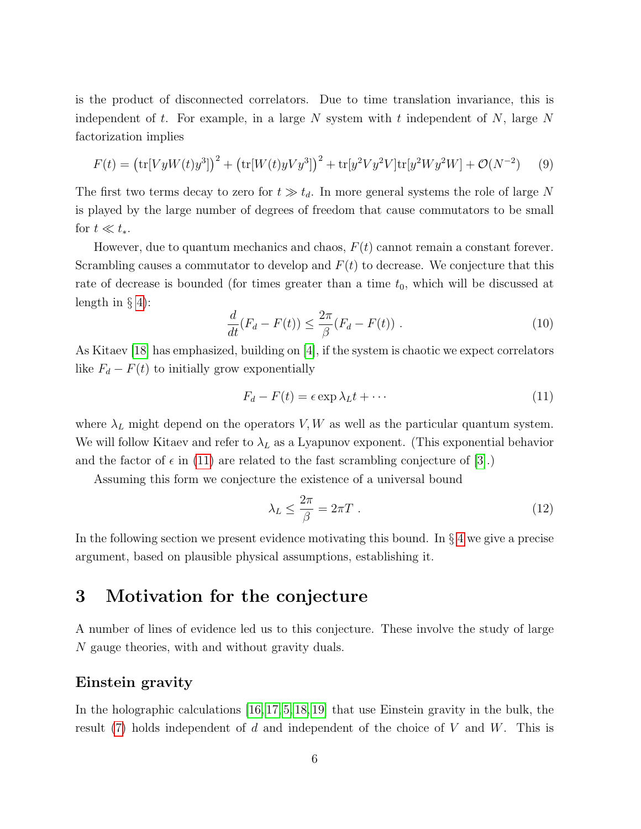is the product of disconnected correlators. Due to time translation invariance, this is independent of t. For example, in a large N system with t independent of N, large N factorization implies

$$
F(t) = \left(\text{tr}[VyW(t)y^{3}]\right)^{2} + \left(\text{tr}[W(t)yVy^{3}]\right)^{2} + \text{tr}[y^{2}Vy^{2}V]\text{tr}[y^{2}Wy^{2}W] + \mathcal{O}(N^{-2})\tag{9}
$$

The first two terms decay to zero for  $t \gg t_d$ . In more general systems the role of large N is played by the large number of degrees of freedom that cause commutators to be small for  $t \ll t_*$ .

However, due to quantum mechanics and chaos,  $F(t)$  cannot remain a constant forever. Scrambling causes a commutator to develop and  $F(t)$  to decrease. We conjecture that this rate of decrease is bounded (for times greater than a time  $t_0$ , which will be discussed at length in  $\S$  [4\)](#page-8-0):

<span id="page-6-3"></span>
$$
\frac{d}{dt}(F_d - F(t)) \le \frac{2\pi}{\beta}(F_d - F(t))\ .
$$
\n(10)

As Kitaev [\[18\]](#page-19-6) has emphasized, building on [\[4\]](#page-18-3), if the system is chaotic we expect correlators like  $F_d - F(t)$  to initially grow exponentially

<span id="page-6-1"></span>
$$
F_d - F(t) = \epsilon \exp \lambda_L t + \cdots \tag{11}
$$

where  $\lambda_L$  might depend on the operators V, W as well as the particular quantum system. We will follow Kitaev and refer to  $\lambda_L$  as a Lyapunov exponent. (This exponential behavior and the factor of  $\epsilon$  in [\(11\)](#page-6-1) are related to the fast scrambling conjecture of [\[3\]](#page-18-2).)

Assuming this form we conjecture the existence of a universal bound

<span id="page-6-2"></span>
$$
\lambda_L \le \frac{2\pi}{\beta} = 2\pi T \ . \tag{12}
$$

In the following section we present evidence motivating this bound. In  $\S 4$  $\S 4$  we give a precise argument, based on plausible physical assumptions, establishing it.

# <span id="page-6-0"></span>3 Motivation for the conjecture

A number of lines of evidence led us to this conjecture. These involve the study of large N gauge theories, with and without gravity duals.

#### Einstein gravity

In the holographic calculations [\[16,](#page-19-4) [17,](#page-19-5) [5,](#page-18-4) [18,](#page-19-6) [19\]](#page-20-0) that use Einstein gravity in the bulk, the result  $(7)$  holds independent of d and independent of the choice of V and W. This is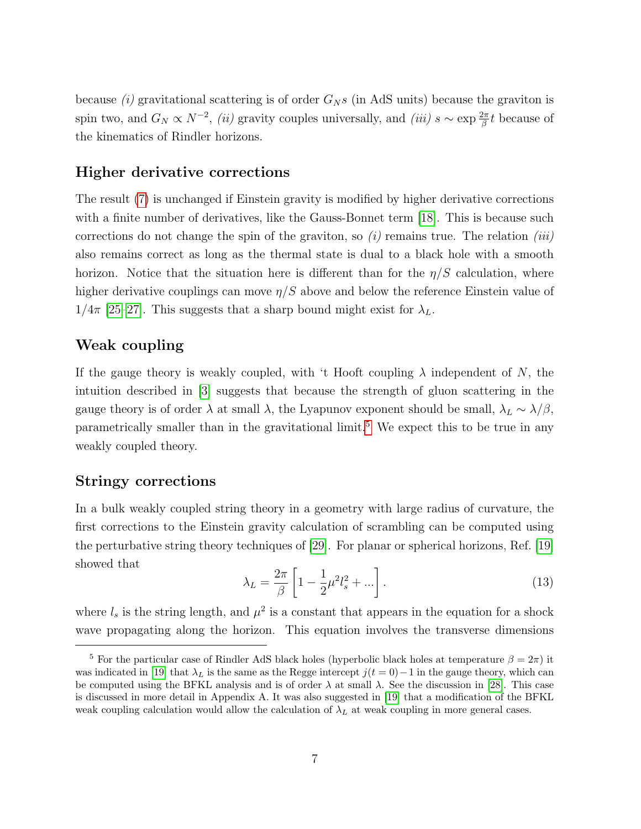because (i) gravitational scattering is of order  $G_N s$  (in AdS units) because the graviton is spin two, and  $G_N \propto N^{-2}$ , (ii) gravity couples universally, and (iii)  $s \sim \exp \frac{2\pi}{\beta} t$  because of the kinematics of Rindler horizons.

## Higher derivative corrections

The result [\(7\)](#page-5-2) is unchanged if Einstein gravity is modified by higher derivative corrections with a finite number of derivatives, like the Gauss-Bonnet term [\[18\]](#page-19-6). This is because such corrections do not change the spin of the graviton, so  $(i)$  remains true. The relation  $(iii)$ also remains correct as long as the thermal state is dual to a black hole with a smooth horizon. Notice that the situation here is different than for the  $\eta/S$  calculation, where higher derivative couplings can move  $\eta/S$  above and below the reference Einstein value of  $1/4\pi$  [\[25](#page-20-6)[–27\]](#page-20-7). This suggests that a sharp bound might exist for  $\lambda_L$ .

## Weak coupling

If the gauge theory is weakly coupled, with 't Hooft coupling  $\lambda$  independent of N, the intuition described in [\[3\]](#page-18-2) suggests that because the strength of gluon scattering in the gauge theory is of order  $\lambda$  at small  $\lambda$ , the Lyapunov exponent should be small,  $\lambda_L \sim \lambda/\beta$ , parametrically smaller than in the gravitational limit.[5](#page-7-0) We expect this to be true in any weakly coupled theory.

#### Stringy corrections

<span id="page-7-1"></span>In a bulk weakly coupled string theory in a geometry with large radius of curvature, the first corrections to the Einstein gravity calculation of scrambling can be computed using the perturbative string theory techniques of [\[29\]](#page-20-8). For planar or spherical horizons, Ref. [\[19\]](#page-20-0) showed that

$$
\lambda_L = \frac{2\pi}{\beta} \left[ 1 - \frac{1}{2} \mu^2 l_s^2 + \ldots \right]. \tag{13}
$$

where  $l_s$  is the string length, and  $\mu^2$  is a constant that appears in the equation for a shock wave propagating along the horizon. This equation involves the transverse dimensions

<span id="page-7-0"></span><sup>&</sup>lt;sup>5</sup> For the particular case of Rindler AdS black holes (hyperbolic black holes at temperature  $\beta = 2\pi$ ) it was indicated in [\[19\]](#page-20-0) that  $\lambda_L$  is the same as the Regge intercept  $j(t = 0) - 1$  in the gauge theory, which can be computed using the BFKL analysis and is of order  $\lambda$  at small  $\lambda$ . See the discussion in [\[28\]](#page-20-9). This case is discussed in more detail in Appendix A. It was also suggested in [\[19\]](#page-20-0) that a modification of the BFKL weak coupling calculation would allow the calculation of  $\lambda_L$  at weak coupling in more general cases.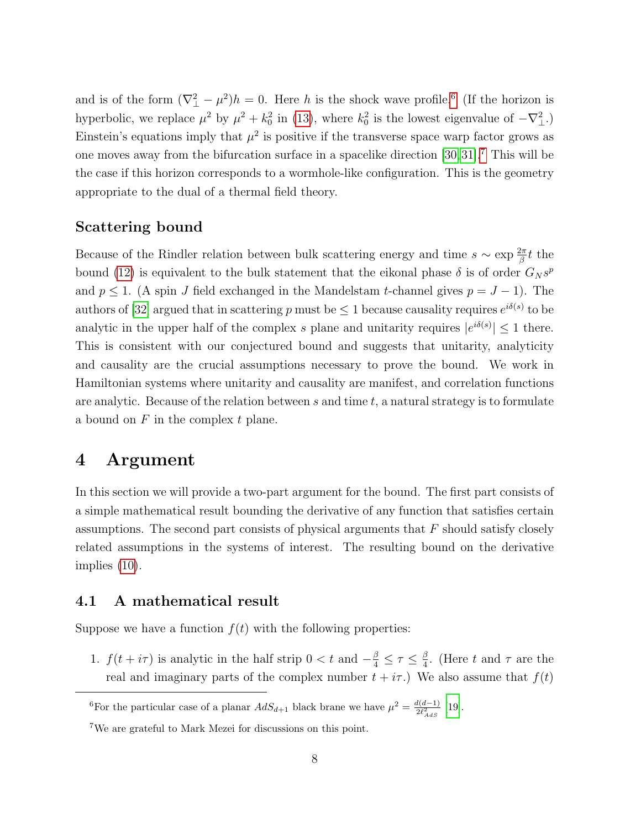and is of the form  $(\nabla^2_{\perp} - \mu^2)h = 0$ . Here h is the shock wave profile.<sup>[6](#page-8-2)</sup> (If the horizon is hyperbolic, we replace  $\mu^2$  by  $\mu^2 + k_0^2$  in [\(13\)](#page-7-1), where  $k_0^2$  is the lowest eigenvalue of  $-\nabla_{\perp}^2$ . Einstein's equations imply that  $\mu^2$  is positive if the transverse space warp factor grows as one moves away from the bifurcation surface in a spacelike direction [\[30,](#page-20-10)[31\]](#page-20-11).[7](#page-8-3) This will be the case if this horizon corresponds to a wormhole-like configuration. This is the geometry appropriate to the dual of a thermal field theory.

## Scattering bound

Because of the Rindler relation between bulk scattering energy and time  $s \sim \exp \frac{2\pi}{\beta} t$  the bound [\(12\)](#page-6-2) is equivalent to the bulk statement that the eikonal phase  $\delta$  is of order  $G_N s^p$ and  $p \leq 1$ . (A spin J field exchanged in the Mandelstam t-channel gives  $p = J - 1$ ). The authors of [\[32\]](#page-21-0) argued that in scattering p must be  $\leq 1$  because causality requires  $e^{i\delta(s)}$  to be analytic in the upper half of the complex s plane and unitarity requires  $|e^{i\delta(s)}| \leq 1$  there. This is consistent with our conjectured bound and suggests that unitarity, analyticity and causality are the crucial assumptions necessary to prove the bound. We work in Hamiltonian systems where unitarity and causality are manifest, and correlation functions are analytic. Because of the relation between s and time  $t$ , a natural strategy is to formulate a bound on  $F$  in the complex  $t$  plane.

## <span id="page-8-0"></span>4 Argument

In this section we will provide a two-part argument for the bound. The first part consists of a simple mathematical result bounding the derivative of any function that satisfies certain assumptions. The second part consists of physical arguments that  $F$  should satisfy closely related assumptions in the systems of interest. The resulting bound on the derivative implies [\(10\)](#page-6-3).

## <span id="page-8-1"></span>4.1 A mathematical result

Suppose we have a function  $f(t)$  with the following properties:

1.  $f(t + i\tau)$  is analytic in the half strip  $0 < t$  and  $-\frac{\beta}{4} \leq \tau \leq \frac{\beta}{4}$  $\frac{\beta}{4}$ . (Here t and  $\tau$  are the real and imaginary parts of the complex number  $t + i\tau$ .) We also assume that  $f(t)$ 

<span id="page-8-2"></span><sup>6</sup>For the particular case of a planar  $AdS_{d+1}$  black brane we have  $\mu^2 = \frac{d(d-1)}{2\ell^2}$  $\frac{i(a-1)}{2\ell_{AdS}^2}$  [\[19\]](#page-20-0).

<span id="page-8-3"></span><sup>7</sup>We are grateful to Mark Mezei for discussions on this point.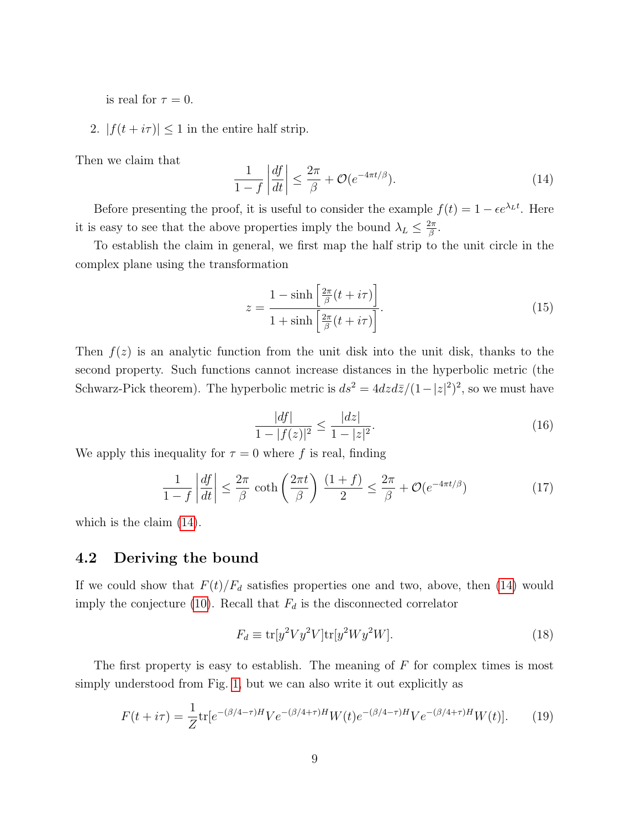is real for  $\tau = 0$ .

2.  $|f(t + i\tau)| \leq 1$  in the entire half strip.

Then we claim that

<span id="page-9-1"></span>
$$
\frac{1}{1-f} \left| \frac{df}{dt} \right| \le \frac{2\pi}{\beta} + \mathcal{O}(e^{-4\pi t/\beta}).
$$
\n(14)

Before presenting the proof, it is useful to consider the example  $f(t) = 1 - \epsilon e^{\lambda_L t}$ . Here it is easy to see that the above properties imply the bound  $\lambda_L \leq \frac{2\pi}{\beta}$  $\frac{2\pi}{\beta}$  .

To establish the claim in general, we first map the half strip to the unit circle in the complex plane using the transformation

$$
z = \frac{1 - \sinh\left[\frac{2\pi}{\beta}(t + i\tau)\right]}{1 + \sinh\left[\frac{2\pi}{\beta}(t + i\tau)\right]}.
$$
\n(15)

Then  $f(z)$  is an analytic function from the unit disk into the unit disk, thanks to the second property. Such functions cannot increase distances in the hyperbolic metric (the Schwarz-Pick theorem). The hyperbolic metric is  $ds^2 = 4dzd\bar{z}/(1-|z|^2)^2$ , so we must have

<span id="page-9-2"></span>
$$
\frac{|df|}{1 - |f(z)|^2} \le \frac{|dz|}{1 - |z|^2}.\tag{16}
$$

We apply this inequality for  $\tau = 0$  where f is real, finding

$$
\frac{1}{1-f} \left| \frac{df}{dt} \right| \le \frac{2\pi}{\beta} \coth\left(\frac{2\pi t}{\beta}\right) \frac{(1+f)}{2} \le \frac{2\pi}{\beta} + \mathcal{O}(e^{-4\pi t/\beta}) \tag{17}
$$

which is the claim [\(14\)](#page-9-1).

### <span id="page-9-0"></span>4.2 Deriving the bound

If we could show that  $F(t)/F_d$  satisfies properties one and two, above, then [\(14\)](#page-9-1) would imply the conjecture [\(10\)](#page-6-3). Recall that  $F_d$  is the disconnected correlator

$$
F_d \equiv \text{tr}[y^2 V y^2 V] \text{tr}[y^2 W y^2 W]. \tag{18}
$$

The first property is easy to establish. The meaning of  $F$  for complex times is most simply understood from Fig. [1,](#page-4-0) but we can also write it out explicitly as

$$
F(t+i\tau) = \frac{1}{Z} \text{tr}[e^{-(\beta/4-\tau)H} V e^{-(\beta/4+\tau)H} W(t) e^{-(\beta/4-\tau)H} V e^{-(\beta/4+\tau)H} W(t)]. \tag{19}
$$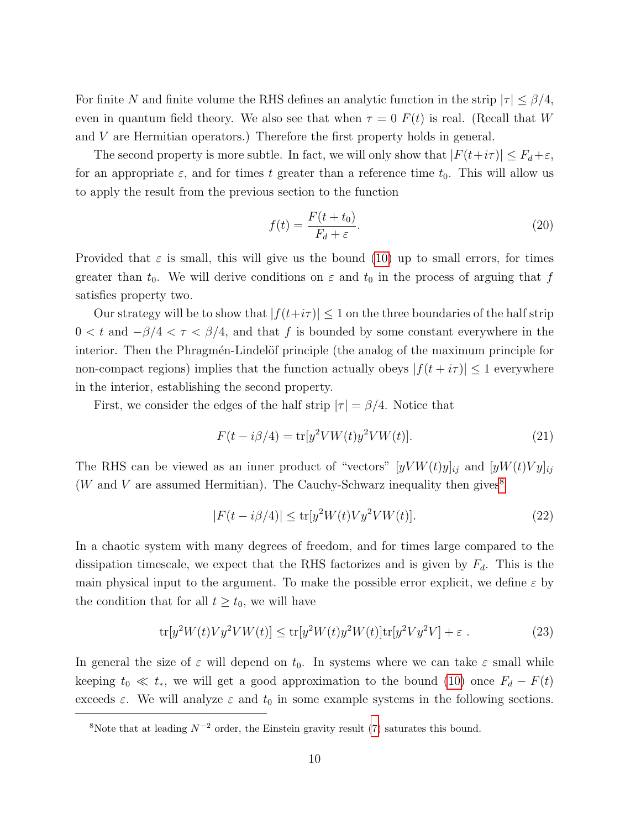For finite N and finite volume the RHS defines an analytic function in the strip  $|\tau| \leq \beta/4$ , even in quantum field theory. We also see that when  $\tau = 0$   $F(t)$  is real. (Recall that W and V are Hermitian operators.) Therefore the first property holds in general.

The second property is more subtle. In fact, we will only show that  $|F(t+i\tau)| \leq F_d + \varepsilon$ , for an appropriate  $\varepsilon$ , and for times t greater than a reference time  $t_0$ . This will allow us to apply the result from the previous section to the function

<span id="page-10-2"></span>
$$
f(t) = \frac{F(t + t_0)}{F_d + \varepsilon}.
$$
\n(20)

Provided that  $\varepsilon$  is small, this will give us the bound [\(10\)](#page-6-3) up to small errors, for times greater than  $t_0$ . We will derive conditions on  $\varepsilon$  and  $t_0$  in the process of arguing that f satisfies property two.

Our strategy will be to show that  $|f(t+i\tau)| \leq 1$  on the three boundaries of the half strip  $0 < t$  and  $-\beta/4 < \tau < \beta/4$ , and that f is bounded by some constant everywhere in the interior. Then the Phragmén-Lindelöf principle (the analog of the maximum principle for non-compact regions) implies that the function actually obeys  $|f(t + i\tau)| \leq 1$  everywhere in the interior, establishing the second property.

First, we consider the edges of the half strip  $|\tau| = \beta/4$ . Notice that

$$
F(t - i\beta/4) = \text{tr}[y^2 VW(t)y^2 VW(t)].
$$
\n(21)

The RHS can be viewed as an inner product of "vectors"  $[yVW(t)y]_{ij}$  and  $[yW(t)Vy]_{ij}$ (W and V are assumed Hermitian). The Cauchy-Schwarz inequality then gives<sup>[8](#page-10-0)</sup>

<span id="page-10-1"></span>
$$
|F(t - i\beta/4)| \le \text{tr}[y^2 W(t) V y^2 V W(t)].\tag{22}
$$

In a chaotic system with many degrees of freedom, and for times large compared to the dissipation timescale, we expect that the RHS factorizes and is given by  $F_d$ . This is the main physical input to the argument. To make the possible error explicit, we define  $\varepsilon$  by the condition that for all  $t \geq t_0$ , we will have

$$
\text{tr}[y^2W(t)Vy^2VW(t)] \le \text{tr}[y^2W(t)y^2W(t)]\text{tr}[y^2Vy^2V] + \varepsilon.
$$
 (23)

In general the size of  $\varepsilon$  will depend on  $t_0$ . In systems where we can take  $\varepsilon$  small while keeping  $t_0 \ll t_*$ , we will get a good approximation to the bound [\(10\)](#page-6-3) once  $F_d - F(t)$ exceeds  $\varepsilon$ . We will analyze  $\varepsilon$  and  $t_0$  in some example systems in the following sections.

<span id="page-10-0"></span><sup>&</sup>lt;sup>8</sup>Note that at leading  $N^{-2}$  order, the Einstein gravity result [\(7\)](#page-5-2) saturates this bound.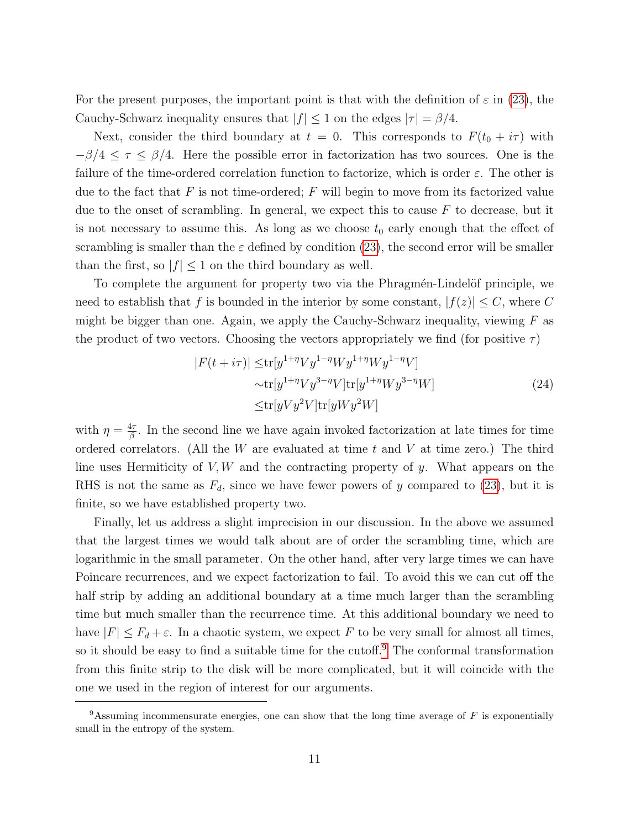For the present purposes, the important point is that with the definition of  $\varepsilon$  in [\(23\)](#page-10-1), the Cauchy-Schwarz inequality ensures that  $|f| \leq 1$  on the edges  $|\tau| = \beta/4$ .

Next, consider the third boundary at  $t = 0$ . This corresponds to  $F(t_0 + i\tau)$  with  $-\beta/4 \leq \tau \leq \beta/4$ . Here the possible error in factorization has two sources. One is the failure of the time-ordered correlation function to factorize, which is order  $\varepsilon$ . The other is due to the fact that  $F$  is not time-ordered;  $F$  will begin to move from its factorized value due to the onset of scrambling. In general, we expect this to cause  $F$  to decrease, but it is not necessary to assume this. As long as we choose  $t_0$  early enough that the effect of scrambling is smaller than the  $\varepsilon$  defined by condition [\(23\)](#page-10-1), the second error will be smaller than the first, so  $|f| \leq 1$  on the third boundary as well.

To complete the argument for property two via the Phragmén-Lindelöf principle, we need to establish that f is bounded in the interior by some constant,  $|f(z)| \leq C$ , where C might be bigger than one. Again, we apply the Cauchy-Schwarz inequality, viewing  $F$  as the product of two vectors. Choosing the vectors appropriately we find (for positive  $\tau$ )

$$
|F(t+i\tau)| \le \operatorname{tr}[y^{1+\eta}Vy^{1-\eta}Wy^{1+\eta}Wy^{1-\eta}V]
$$
  
\n
$$
\sim \operatorname{tr}[y^{1+\eta}Vy^{3-\eta}V]\operatorname{tr}[y^{1+\eta}Wy^{3-\eta}W]
$$
  
\n
$$
\le \operatorname{tr}[yVy^2V]\operatorname{tr}[yWy^2W]
$$
\n(24)

with  $\eta = \frac{4\tau}{\beta}$  $\frac{4\tau}{\beta}$ . In the second line we have again invoked factorization at late times for time ordered correlators. (All the  $W$  are evaluated at time  $t$  and  $V$  at time zero.) The third line uses Hermiticity of  $V, W$  and the contracting property of y. What appears on the RHS is not the same as  $F_d$ , since we have fewer powers of y compared to [\(23\)](#page-10-1), but it is finite, so we have established property two.

Finally, let us address a slight imprecision in our discussion. In the above we assumed that the largest times we would talk about are of order the scrambling time, which are logarithmic in the small parameter. On the other hand, after very large times we can have Poincare recurrences, and we expect factorization to fail. To avoid this we can cut off the half strip by adding an additional boundary at a time much larger than the scrambling time but much smaller than the recurrence time. At this additional boundary we need to have  $|F| \leq F_d + \varepsilon$ . In a chaotic system, we expect F to be very small for almost all times, so it should be easy to find a suitable time for the cutoff.[9](#page-11-0) The conformal transformation from this finite strip to the disk will be more complicated, but it will coincide with the one we used in the region of interest for our arguments.

<span id="page-11-0"></span><sup>&</sup>lt;sup>9</sup>Assuming incommensurate energies, one can show that the long time average of F is exponentially small in the entropy of the system.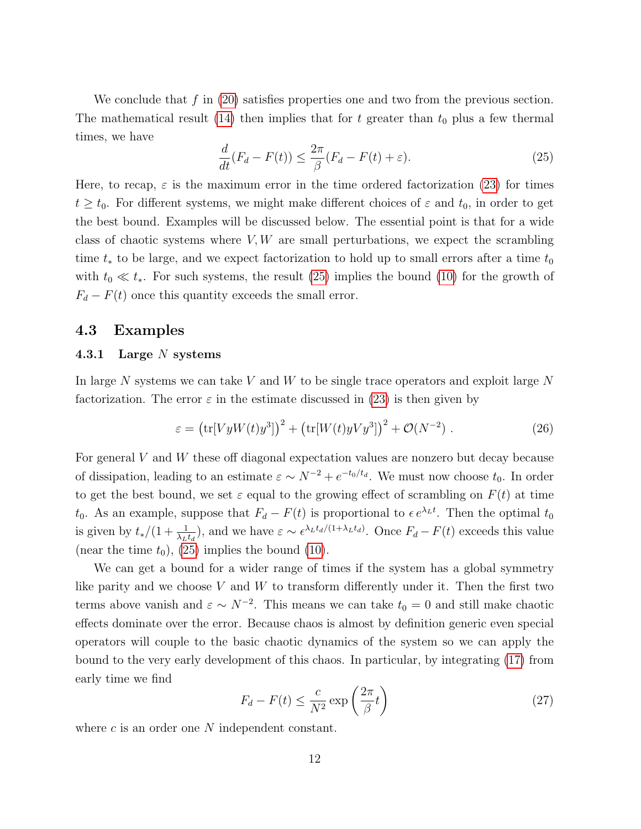We conclude that f in  $(20)$  satisfies properties one and two from the previous section. The mathematical result [\(14\)](#page-9-1) then implies that for t greater than  $t_0$  plus a few thermal times, we have

<span id="page-12-2"></span>
$$
\frac{d}{dt}(F_d - F(t)) \le \frac{2\pi}{\beta}(F_d - F(t) + \varepsilon). \tag{25}
$$

Here, to recap,  $\varepsilon$  is the maximum error in the time ordered factorization [\(23\)](#page-10-1) for times  $t \geq t_0$ . For different systems, we might make different choices of  $\varepsilon$  and  $t_0$ , in order to get the best bound. Examples will be discussed below. The essential point is that for a wide class of chaotic systems where  $V, W$  are small perturbations, we expect the scrambling time  $t_*$  to be large, and we expect factorization to hold up to small errors after a time  $t_0$ with  $t_0 \ll t_*$ . For such systems, the result [\(25\)](#page-12-2) implies the bound [\(10\)](#page-6-3) for the growth of  $F_d - F(t)$  once this quantity exceeds the small error.

### <span id="page-12-0"></span>4.3 Examples

#### <span id="page-12-1"></span>4.3.1 Large N systems

In large N systems we can take V and W to be single trace operators and exploit large  $N$ factorization. The error  $\varepsilon$  in the estimate discussed in [\(23\)](#page-10-1) is then given by

$$
\varepsilon = \left(\text{tr}[VyW(t)y^3]\right)^2 + \left(\text{tr}[W(t)yVy^3]\right)^2 + \mathcal{O}(N^{-2}).\tag{26}
$$

For general V and W these off diagonal expectation values are nonzero but decay because of dissipation, leading to an estimate  $\varepsilon \sim N^{-2} + e^{-t_0/t_d}$ . We must now choose  $t_0$ . In order to get the best bound, we set  $\varepsilon$  equal to the growing effect of scrambling on  $F(t)$  at time t<sub>0</sub>. As an example, suppose that  $F_d - F(t)$  is proportional to  $\epsilon e^{\lambda_L t}$ . Then the optimal t<sub>0</sub> is given by  $t_*/(1+\frac{1}{\lambda_L t_d})$ , and we have  $\varepsilon \sim \epsilon^{\lambda_L t_d/(1+\lambda_L t_d)}$ . Once  $F_d-F(t)$  exceeds this value (near the time  $t_0$ ), [\(25\)](#page-12-2) implies the bound [\(10\)](#page-6-3).

We can get a bound for a wider range of times if the system has a global symmetry like parity and we choose  $V$  and  $W$  to transform differently under it. Then the first two terms above vanish and  $\varepsilon \sim N^{-2}$ . This means we can take  $t_0 = 0$  and still make chaotic effects dominate over the error. Because chaos is almost by definition generic even special operators will couple to the basic chaotic dynamics of the system so we can apply the bound to the very early development of this chaos. In particular, by integrating [\(17\)](#page-9-2) from early time we find

$$
F_d - F(t) \le \frac{c}{N^2} \exp\left(\frac{2\pi}{\beta}t\right) \tag{27}
$$

where  $c$  is an order one  $N$  independent constant.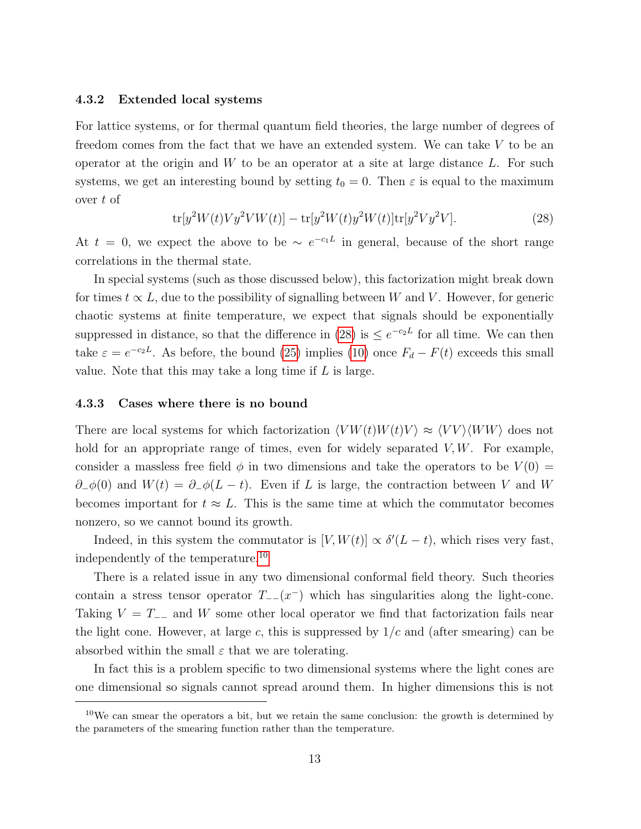#### <span id="page-13-0"></span>4.3.2 Extended local systems

For lattice systems, or for thermal quantum field theories, the large number of degrees of freedom comes from the fact that we have an extended system. We can take V to be an operator at the origin and  $W$  to be an operator at a site at large distance  $L$ . For such systems, we get an interesting bound by setting  $t_0 = 0$ . Then  $\varepsilon$  is equal to the maximum over t of

<span id="page-13-2"></span>
$$
\text{tr}[y^2W(t)V y^2 V W(t)] - \text{tr}[y^2W(t)y^2 W(t)] \text{tr}[y^2 V y^2 V]. \tag{28}
$$

At  $t = 0$ , we expect the above to be  $\sim e^{-c_1L}$  in general, because of the short range correlations in the thermal state.

In special systems (such as those discussed below), this factorization might break down for times  $t \propto L$ , due to the possibility of signalling between W and V. However, for generic chaotic systems at finite temperature, we expect that signals should be exponentially suppressed in distance, so that the difference in [\(28\)](#page-13-2) is  $\leq e^{-c_2L}$  for all time. We can then take  $\varepsilon = e^{-c_2L}$ . As before, the bound [\(25\)](#page-12-2) implies [\(10\)](#page-6-3) once  $F_d - F(t)$  exceeds this small value. Note that this may take a long time if  $L$  is large.

#### <span id="page-13-1"></span>4.3.3 Cases where there is no bound

There are local systems for which factorization  $\langle VW(t)W(t)V \rangle \approx \langle VV \rangle \langle WW \rangle$  does not hold for an appropriate range of times, even for widely separated  $V, W$ . For example, consider a massless free field  $\phi$  in two dimensions and take the operators to be  $V(0)$  =  $\partial_-\phi(0)$  and  $W(t) = \partial_-\phi(L-t)$ . Even if L is large, the contraction between V and W becomes important for  $t \approx L$ . This is the same time at which the commutator becomes nonzero, so we cannot bound its growth.

Indeed, in this system the commutator is  $[V, W(t)] \propto \delta'(L-t)$ , which rises very fast, independently of the temperature.[10](#page-13-3)

There is a related issue in any two dimensional conformal field theory. Such theories contain a stress tensor operator  $T_{-}(x^-)$  which has singularities along the light-cone. Taking  $V = T_{-}$  and W some other local operator we find that factorization fails near the light cone. However, at large c, this is suppressed by  $1/c$  and (after smearing) can be absorbed within the small  $\varepsilon$  that we are tolerating.

In fact this is a problem specific to two dimensional systems where the light cones are one dimensional so signals cannot spread around them. In higher dimensions this is not

<span id="page-13-3"></span> $10$ We can smear the operators a bit, but we retain the same conclusion: the growth is determined by the parameters of the smearing function rather than the temperature.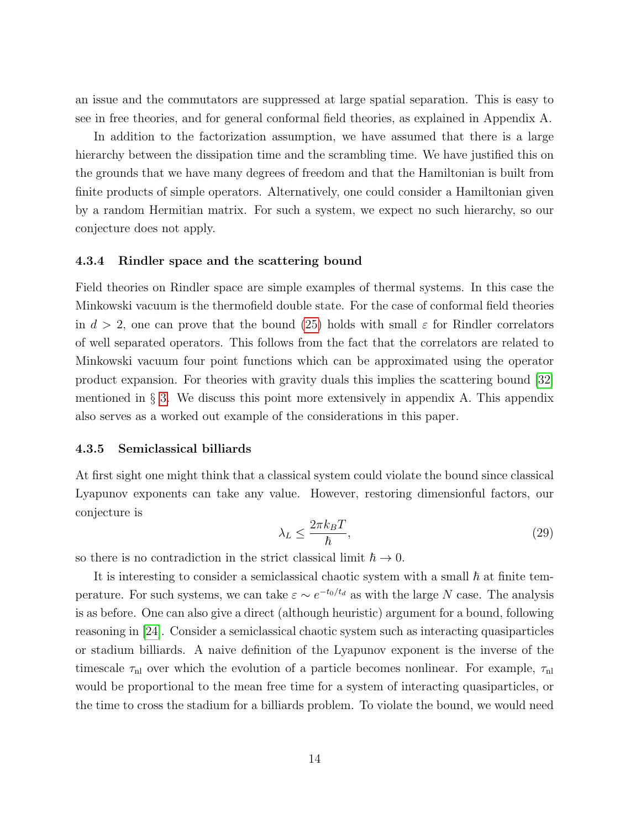an issue and the commutators are suppressed at large spatial separation. This is easy to see in free theories, and for general conformal field theories, as explained in Appendix A.

In addition to the factorization assumption, we have assumed that there is a large hierarchy between the dissipation time and the scrambling time. We have justified this on the grounds that we have many degrees of freedom and that the Hamiltonian is built from finite products of simple operators. Alternatively, one could consider a Hamiltonian given by a random Hermitian matrix. For such a system, we expect no such hierarchy, so our conjecture does not apply.

#### <span id="page-14-0"></span>4.3.4 Rindler space and the scattering bound

Field theories on Rindler space are simple examples of thermal systems. In this case the Minkowski vacuum is the thermofield double state. For the case of conformal field theories in  $d > 2$ , one can prove that the bound [\(25\)](#page-12-2) holds with small  $\varepsilon$  for Rindler correlators of well separated operators. This follows from the fact that the correlators are related to Minkowski vacuum four point functions which can be approximated using the operator product expansion. For theories with gravity duals this implies the scattering bound [\[32\]](#page-21-0) mentioned in  $\S$  [3.](#page-6-0) We discuss this point more extensively in appendix A. This appendix also serves as a worked out example of the considerations in this paper.

#### <span id="page-14-1"></span>4.3.5 Semiclassical billiards

At first sight one might think that a classical system could violate the bound since classical Lyapunov exponents can take any value. However, restoring dimensionful factors, our conjecture is

$$
\lambda_L \le \frac{2\pi k_B T}{\hbar},\tag{29}
$$

so there is no contradiction in the strict classical limit  $\hbar \to 0$ .

It is interesting to consider a semiclassical chaotic system with a small  $\hbar$  at finite temperature. For such systems, we can take  $\varepsilon \sim e^{-t_0/t_d}$  as with the large N case. The analysis is as before. One can also give a direct (although heuristic) argument for a bound, following reasoning in [\[24\]](#page-20-3). Consider a semiclassical chaotic system such as interacting quasiparticles or stadium billiards. A naive definition of the Lyapunov exponent is the inverse of the timescale  $\tau_{nl}$  over which the evolution of a particle becomes nonlinear. For example,  $\tau_{nl}$ would be proportional to the mean free time for a system of interacting quasiparticles, or the time to cross the stadium for a billiards problem. To violate the bound, we would need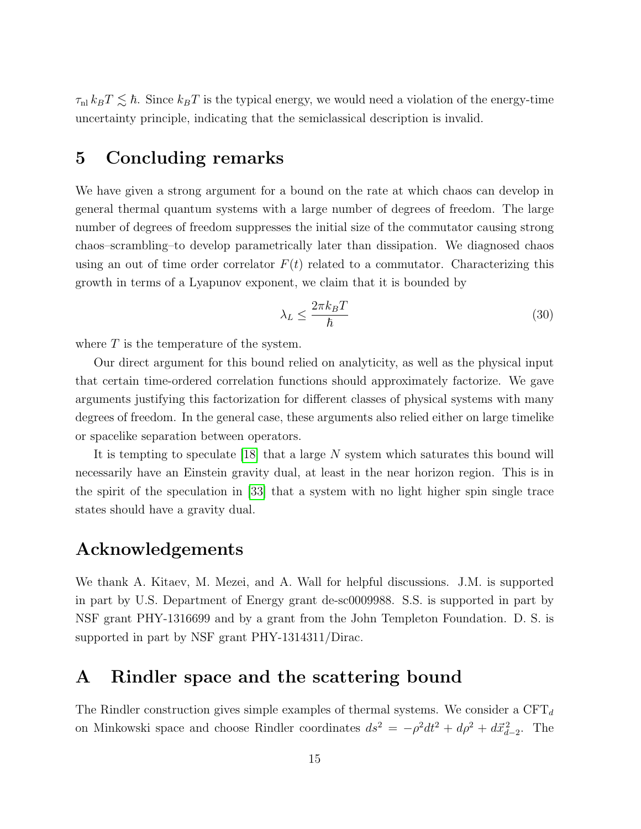$\tau_{nl} k_B T \lesssim \hbar$ . Since  $k_B T$  is the typical energy, we would need a violation of the energy-time uncertainty principle, indicating that the semiclassical description is invalid.

# <span id="page-15-0"></span>5 Concluding remarks

We have given a strong argument for a bound on the rate at which chaos can develop in general thermal quantum systems with a large number of degrees of freedom. The large number of degrees of freedom suppresses the initial size of the commutator causing strong chaos–scrambling–to develop parametrically later than dissipation. We diagnosed chaos using an out of time order correlator  $F(t)$  related to a commutator. Characterizing this growth in terms of a Lyapunov exponent, we claim that it is bounded by

$$
\lambda_L \le \frac{2\pi k_B T}{\hbar} \tag{30}
$$

where  $T$  is the temperature of the system.

Our direct argument for this bound relied on analyticity, as well as the physical input that certain time-ordered correlation functions should approximately factorize. We gave arguments justifying this factorization for different classes of physical systems with many degrees of freedom. In the general case, these arguments also relied either on large timelike or spacelike separation between operators.

It is tempting to speculate [\[18\]](#page-19-6) that a large N system which saturates this bound will necessarily have an Einstein gravity dual, at least in the near horizon region. This is in the spirit of the speculation in [\[33\]](#page-21-1) that a system with no light higher spin single trace states should have a gravity dual.

# Acknowledgements

We thank A. Kitaev, M. Mezei, and A. Wall for helpful discussions. J.M. is supported in part by U.S. Department of Energy grant de-sc0009988. S.S. is supported in part by NSF grant PHY-1316699 and by a grant from the John Templeton Foundation. D. S. is supported in part by NSF grant PHY-1314311/Dirac.

# <span id="page-15-1"></span>A Rindler space and the scattering bound

The Rindler construction gives simple examples of thermal systems. We consider a  $CFT<sub>d</sub>$ on Minkowski space and choose Rindler coordinates  $ds^2 = -\rho^2 dt^2 + d\rho^2 + d\vec{x}_{d-2}^2$ . The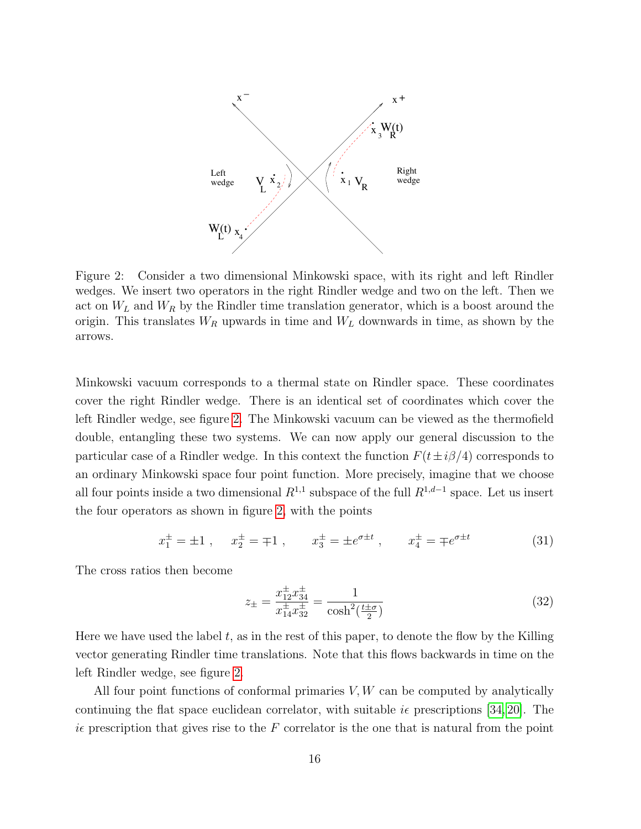

<span id="page-16-0"></span>Figure 2: Consider a two dimensional Minkowski space, with its right and left Rindler wedges. We insert two operators in the right Rindler wedge and two on the left. Then we act on  $W_L$  and  $W_R$  by the Rindler time translation generator, which is a boost around the origin. This translates  $W_R$  upwards in time and  $W_L$  downwards in time, as shown by the arrows.

Minkowski vacuum corresponds to a thermal state on Rindler space. These coordinates cover the right Rindler wedge. There is an identical set of coordinates which cover the left Rindler wedge, see figure [2.](#page-16-0) The Minkowski vacuum can be viewed as the thermofield double, entangling these two systems. We can now apply our general discussion to the particular case of a Rindler wedge. In this context the function  $F(t\pm i\beta/4)$  corresponds to an ordinary Minkowski space four point function. More precisely, imagine that we choose all four points inside a two dimensional  $R^{1,1}$  subspace of the full  $R^{1,d-1}$  space. Let us insert the four operators as shown in figure [2,](#page-16-0) with the points

$$
x_1^{\pm} = \pm 1
$$
,  $x_2^{\pm} = \mp 1$ ,  $x_3^{\pm} = \pm e^{\sigma \pm t}$ ,  $x_4^{\pm} = \mp e^{\sigma \pm t}$  (31)

The cross ratios then become

$$
z_{\pm} = \frac{x_{12}^{\pm} x_{34}^{\pm}}{x_{14}^{\pm} x_{32}^{\pm}} = \frac{1}{\cosh^2(\frac{t \pm \sigma}{2})}
$$
(32)

Here we have used the label  $t$ , as in the rest of this paper, to denote the flow by the Killing vector generating Rindler time translations. Note that this flows backwards in time on the left Rindler wedge, see figure [2.](#page-16-0)

All four point functions of conformal primaries  $V, W$  can be computed by analytically continuing the flat space euclidean correlator, with suitable  $i\epsilon$  prescriptions [\[34,](#page-21-2) [20\]](#page-20-4). The ie prescription that gives rise to the  $F$  correlator is the one that is natural from the point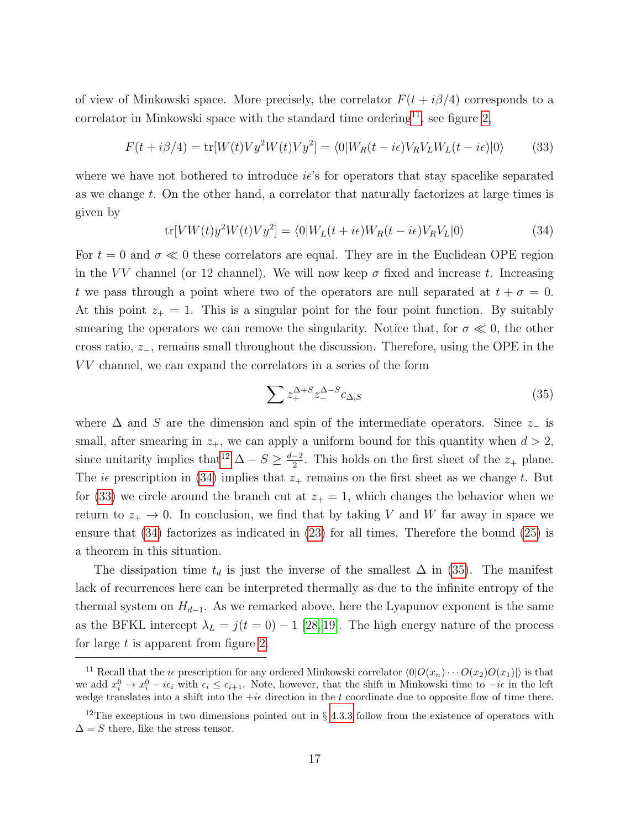of view of Minkowski space. More precisely, the correlator  $F(t + i\beta/4)$  corresponds to a correlator in Minkowski space with the standard time ordering<sup>[11](#page-17-0)</sup>, see figure [2,](#page-16-0)

$$
F(t + i\beta/4) = \text{tr}[W(t)Vy^2W(t)Vy^2] = \langle 0|W_R(t - i\epsilon)V_RV_LW_L(t - i\epsilon)|0\rangle \tag{33}
$$

where we have not bothered to introduce  $i\epsilon$ 's for operators that stay spacelike separated as we change t. On the other hand, a correlator that naturally factorizes at large times is given by

<span id="page-17-3"></span><span id="page-17-2"></span>
$$
\text{tr}[VW(t)y^2W(t)Vy^2] = \langle 0|W_L(t+i\epsilon)W_R(t-i\epsilon)V_RV_L|0\rangle \tag{34}
$$

For  $t = 0$  and  $\sigma \ll 0$  these correlators are equal. They are in the Euclidean OPE region in the VV channel (or 12 channel). We will now keep  $\sigma$  fixed and increase t. Increasing t we pass through a point where two of the operators are null separated at  $t + \sigma = 0$ . At this point  $z_+ = 1$ . This is a singular point for the four point function. By suitably smearing the operators we can remove the singularity. Notice that, for  $\sigma \ll 0$ , the other cross ratio,  $z_$ , remains small throughout the discussion. Therefore, using the OPE in the V V channel, we can expand the correlators in a series of the form

<span id="page-17-4"></span>
$$
\sum z_{+}^{\Delta+S} z_{-}^{\Delta-S} c_{\Delta,S}
$$
 (35)

where  $\Delta$  and S are the dimension and spin of the intermediate operators. Since  $z_$  is small, after smearing in  $z_+$ , we can apply a uniform bound for this quantity when  $d > 2$ , since unitarity implies that<sup>[12](#page-17-1)</sup>  $\Delta - S \geq \frac{d-2}{2}$  $\frac{-2}{2}$ . This holds on the first sheet of the  $z_+$  plane. The *i* $\epsilon$  prescription in [\(34\)](#page-17-2) implies that  $z_+$  remains on the first sheet as we change t. But for [\(33\)](#page-17-3) we circle around the branch cut at  $z_+ = 1$ , which changes the behavior when we return to  $z_+ \to 0$ . In conclusion, we find that by taking V and W far away in space we ensure that [\(34\)](#page-17-2) factorizes as indicated in [\(23\)](#page-10-1) for all times. Therefore the bound [\(25\)](#page-12-2) is a theorem in this situation.

The dissipation time  $t_d$  is just the inverse of the smallest  $\Delta$  in [\(35\)](#page-17-4). The manifest lack of recurrences here can be interpreted thermally as due to the infinite entropy of the thermal system on  $H_{d-1}$ . As we remarked above, here the Lyapunov exponent is the same as the BFKL intercept  $\lambda_L = j(t = 0) - 1$  [\[28,](#page-20-9) [19\]](#page-20-0). The high energy nature of the process for large  $t$  is apparent from figure [2.](#page-16-0)

<span id="page-17-0"></span><sup>&</sup>lt;sup>11</sup> Recall that the *i*e prescription for any ordered Minkowski correlator  $\langle 0|O(x_n)\cdots O(x_2)O(x_1)|\rangle$  is that we add  $x_i^0 \to x_i^0 - i\epsilon_i$  with  $\epsilon_i \leq \epsilon_{i+1}$ . Note, however, that the shift in Minkowski time to  $-i\epsilon$  in the left wedge translates into a shift into the  $+i\epsilon$  direction in the t coordinate due to opposite flow of time there.

<span id="page-17-1"></span><sup>&</sup>lt;sup>12</sup>The exceptions in two dimensions pointed out in  $\S 4.3.3$  $\S 4.3.3$  follow from the existence of operators with  $\Delta = S$  there, like the stress tensor.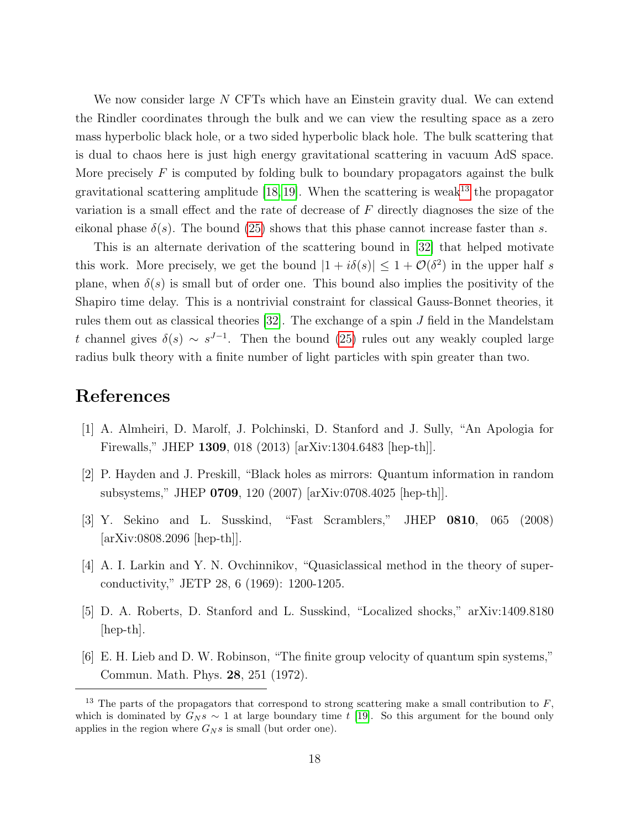We now consider large N CFTs which have an Einstein gravity dual. We can extend the Rindler coordinates through the bulk and we can view the resulting space as a zero mass hyperbolic black hole, or a two sided hyperbolic black hole. The bulk scattering that is dual to chaos here is just high energy gravitational scattering in vacuum AdS space. More precisely  $F$  is computed by folding bulk to boundary propagators against the bulk gravitational scattering amplitude [\[18,](#page-19-6) [19\]](#page-20-0). When the scattering is weak<sup>[13](#page-18-6)</sup> the propagator variation is a small effect and the rate of decrease of F directly diagnoses the size of the eikonal phase  $\delta(s)$ . The bound [\(25\)](#page-12-2) shows that this phase cannot increase faster than s.

This is an alternate derivation of the scattering bound in [\[32\]](#page-21-0) that helped motivate this work. More precisely, we get the bound  $|1 + i\delta(s)| \leq 1 + \mathcal{O}(\delta^2)$  in the upper half s plane, when  $\delta(s)$  is small but of order one. This bound also implies the positivity of the Shapiro time delay. This is a nontrivial constraint for classical Gauss-Bonnet theories, it rules them out as classical theories [\[32\]](#page-21-0). The exchange of a spin J field in the Mandelstam t channel gives  $\delta(s) \sim s^{J-1}$ . Then the bound [\(25\)](#page-12-2) rules out any weakly coupled large radius bulk theory with a finite number of light particles with spin greater than two.

# References

- <span id="page-18-0"></span>[1] A. Almheiri, D. Marolf, J. Polchinski, D. Stanford and J. Sully, "An Apologia for Firewalls," JHEP 1309, 018 (2013) [arXiv:1304.6483 [hep-th]].
- <span id="page-18-1"></span>[2] P. Hayden and J. Preskill, "Black holes as mirrors: Quantum information in random subsystems," JHEP 0709, 120 (2007) [arXiv:0708.4025 [hep-th]].
- <span id="page-18-2"></span>[3] Y. Sekino and L. Susskind, "Fast Scramblers," JHEP 0810, 065 (2008) [arXiv:0808.2096 [hep-th]].
- <span id="page-18-3"></span>[4] A. I. Larkin and Y. N. Ovchinnikov, "Quasiclassical method in the theory of superconductivity," JETP 28, 6 (1969): 1200-1205.
- <span id="page-18-4"></span>[5] D. A. Roberts, D. Stanford and L. Susskind, "Localized shocks," arXiv:1409.8180  $\vert \text{hep-th} \vert$ .
- <span id="page-18-5"></span>[6] E. H. Lieb and D. W. Robinson, "The finite group velocity of quantum spin systems," Commun. Math. Phys. 28, 251 (1972).

<span id="page-18-6"></span><sup>&</sup>lt;sup>13</sup> The parts of the propagators that correspond to strong scattering make a small contribution to  $F$ , which is dominated by  $G_N s \sim 1$  at large boundary time t [\[19\]](#page-20-0). So this argument for the bound only applies in the region where  $G_N s$  is small (but order one).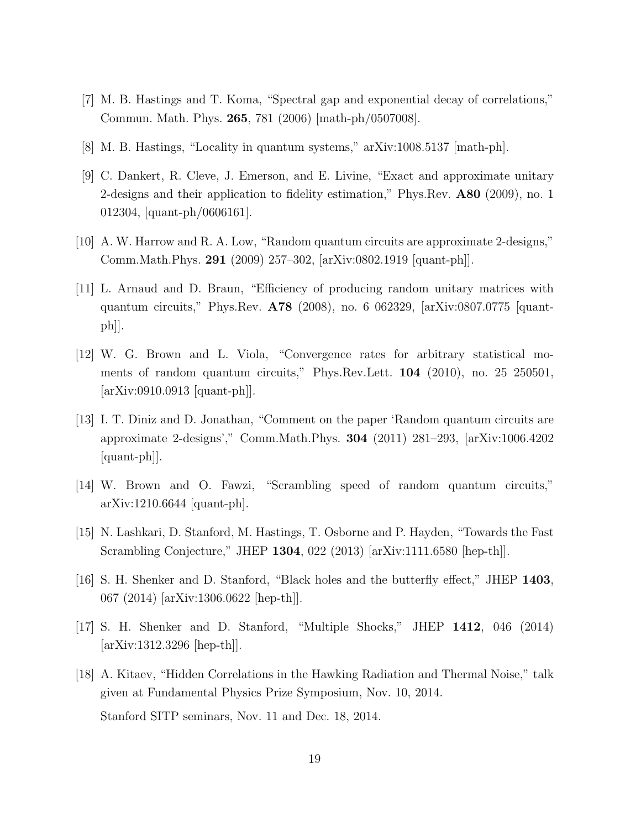- [7] M. B. Hastings and T. Koma, "Spectral gap and exponential decay of correlations," Commun. Math. Phys. 265, 781 (2006) [math-ph/0507008].
- <span id="page-19-0"></span>[8] M. B. Hastings, "Locality in quantum systems," arXiv:1008.5137 [math-ph].
- <span id="page-19-1"></span>[9] C. Dankert, R. Cleve, J. Emerson, and E. Livine, "Exact and approximate unitary 2-designs and their application to fidelity estimation," Phys.Rev. A80 (2009), no. 1 012304, [quant-ph/0606161].
- [10] A. W. Harrow and R. A. Low, "Random quantum circuits are approximate 2-designs," Comm.Math.Phys. 291 (2009) 257–302, [arXiv:0802.1919 [quant-ph]].
- [11] L. Arnaud and D. Braun, "Efficiency of producing random unitary matrices with quantum circuits," Phys.Rev. A78 (2008), no. 6 062329, [arXiv:0807.0775 [quantph]].
- [12] W. G. Brown and L. Viola, "Convergence rates for arbitrary statistical moments of random quantum circuits," Phys.Rev.Lett. 104 (2010), no. 25 250501, [arXiv:0910.0913 [quant-ph]].
- [13] I. T. Diniz and D. Jonathan, "Comment on the paper 'Random quantum circuits are approximate 2-designs'," Comm.Math.Phys. 304 (2011) 281–293, [arXiv:1006.4202 [quant-ph]].
- <span id="page-19-2"></span>[14] W. Brown and O. Fawzi, "Scrambling speed of random quantum circuits," arXiv:1210.6644 [quant-ph].
- <span id="page-19-3"></span>[15] N. Lashkari, D. Stanford, M. Hastings, T. Osborne and P. Hayden, "Towards the Fast Scrambling Conjecture," JHEP 1304, 022 (2013) [arXiv:1111.6580 [hep-th]].
- <span id="page-19-4"></span>[16] S. H. Shenker and D. Stanford, "Black holes and the butterfly effect," JHEP 1403, 067 (2014) [arXiv:1306.0622 [hep-th]].
- <span id="page-19-5"></span>[17] S. H. Shenker and D. Stanford, "Multiple Shocks," JHEP 1412, 046 (2014) [arXiv:1312.3296 [hep-th]].
- <span id="page-19-6"></span>[18] A. Kitaev, "Hidden Correlations in the Hawking Radiation and Thermal Noise," talk given at Fundamental Physics Prize Symposium, Nov. 10, 2014. Stanford SITP seminars, Nov. 11 and Dec. 18, 2014.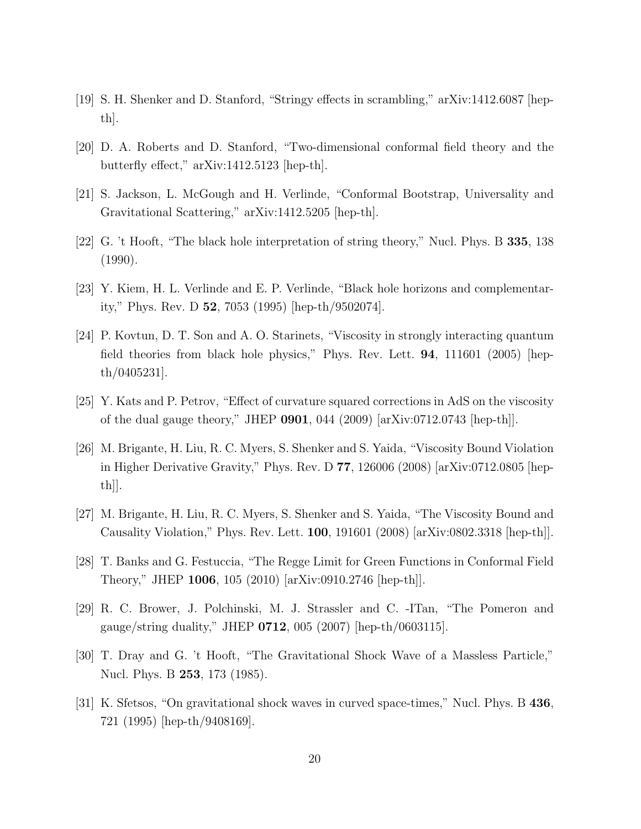- <span id="page-20-0"></span>[19] S. H. Shenker and D. Stanford, "Stringy effects in scrambling," arXiv:1412.6087 [hepth].
- <span id="page-20-4"></span>[20] D. A. Roberts and D. Stanford, "Two-dimensional conformal field theory and the butterfly effect," arXiv:1412.5123 [hep-th].
- <span id="page-20-5"></span>[21] S. Jackson, L. McGough and H. Verlinde, "Conformal Bootstrap, Universality and Gravitational Scattering," arXiv:1412.5205 [hep-th].
- <span id="page-20-1"></span>[22] G. 't Hooft, "The black hole interpretation of string theory," Nucl. Phys. B 335, 138 (1990).
- <span id="page-20-2"></span>[23] Y. Kiem, H. L. Verlinde and E. P. Verlinde, "Black hole horizons and complementarity," Phys. Rev. D 52, 7053 (1995) [hep-th/9502074].
- <span id="page-20-3"></span>[24] P. Kovtun, D. T. Son and A. O. Starinets, "Viscosity in strongly interacting quantum field theories from black hole physics," Phys. Rev. Lett. 94, 111601 (2005) [hepth/0405231].
- <span id="page-20-6"></span>[25] Y. Kats and P. Petrov, "Effect of curvature squared corrections in AdS on the viscosity of the dual gauge theory," JHEP 0901, 044 (2009) [arXiv:0712.0743 [hep-th]].
- [26] M. Brigante, H. Liu, R. C. Myers, S. Shenker and S. Yaida, "Viscosity Bound Violation in Higher Derivative Gravity," Phys. Rev. D 77, 126006 (2008) [arXiv:0712.0805 [hepth]].
- <span id="page-20-7"></span>[27] M. Brigante, H. Liu, R. C. Myers, S. Shenker and S. Yaida, "The Viscosity Bound and Causality Violation," Phys. Rev. Lett. 100, 191601 (2008) [arXiv:0802.3318 [hep-th]].
- <span id="page-20-9"></span>[28] T. Banks and G. Festuccia, "The Regge Limit for Green Functions in Conformal Field Theory," JHEP 1006, 105 (2010) [arXiv:0910.2746 [hep-th]].
- <span id="page-20-8"></span>[29] R. C. Brower, J. Polchinski, M. J. Strassler and C. -ITan, "The Pomeron and gauge/string duality," JHEP  $0712$ , 005 (2007) [hep-th/0603115].
- <span id="page-20-10"></span>[30] T. Dray and G. 't Hooft, "The Gravitational Shock Wave of a Massless Particle," Nucl. Phys. B 253, 173 (1985).
- <span id="page-20-11"></span>[31] K. Sfetsos, "On gravitational shock waves in curved space-times," Nucl. Phys. B 436, 721 (1995) [hep-th/9408169].